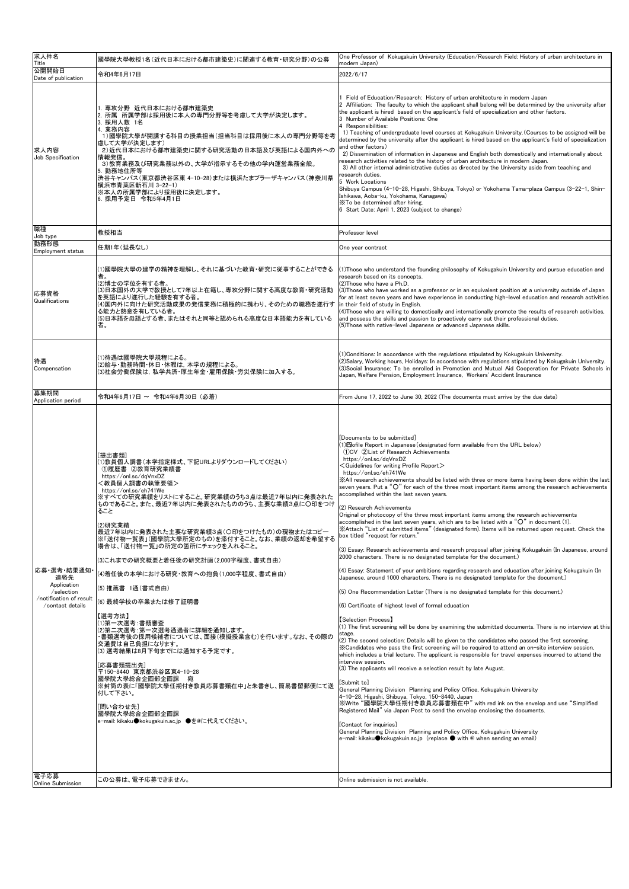| 求人件名<br>Title                                                                                  | 國學院大學教授1名(近代日本における都市建築史)に関連する教育·研究分野)の公募                                                                                                                                                                                                                                                                                                                                                                                                                                                                                                                                                                                                                                  | One Professor of Kokugakuin University (Education/Research Field: History of urban architecture in<br>modern Japan)                                                                                                                                                                                                                                                                                                                                                                                                                                                                                                                                                                                                                                                                                                                                                                                                                                                                                                                                                                                                                                                                                                                                                                                                                                                                                                                                                                                                                                                                                                                                                                                                                                                                                                                                                                                                                                                                              |
|------------------------------------------------------------------------------------------------|---------------------------------------------------------------------------------------------------------------------------------------------------------------------------------------------------------------------------------------------------------------------------------------------------------------------------------------------------------------------------------------------------------------------------------------------------------------------------------------------------------------------------------------------------------------------------------------------------------------------------------------------------------------------------|--------------------------------------------------------------------------------------------------------------------------------------------------------------------------------------------------------------------------------------------------------------------------------------------------------------------------------------------------------------------------------------------------------------------------------------------------------------------------------------------------------------------------------------------------------------------------------------------------------------------------------------------------------------------------------------------------------------------------------------------------------------------------------------------------------------------------------------------------------------------------------------------------------------------------------------------------------------------------------------------------------------------------------------------------------------------------------------------------------------------------------------------------------------------------------------------------------------------------------------------------------------------------------------------------------------------------------------------------------------------------------------------------------------------------------------------------------------------------------------------------------------------------------------------------------------------------------------------------------------------------------------------------------------------------------------------------------------------------------------------------------------------------------------------------------------------------------------------------------------------------------------------------------------------------------------------------------------------------------------------------|
| 公開開始日<br>Date of publication                                                                   | 令和4年6月17日                                                                                                                                                                                                                                                                                                                                                                                                                                                                                                                                                                                                                                                                 | 2022/6/17                                                                                                                                                                                                                                                                                                                                                                                                                                                                                                                                                                                                                                                                                                                                                                                                                                                                                                                                                                                                                                                                                                                                                                                                                                                                                                                                                                                                                                                                                                                                                                                                                                                                                                                                                                                                                                                                                                                                                                                        |
| 求人内容<br>Job Specification                                                                      | 1. 専攻分野 近代日本における都市建築史<br>2. 所属 所属学部は採用後に本人の専門分野等を考慮して大学が決定します。<br>3. 採用人数 1名<br>4. 業務内容<br>1)國學院大學が開講する科目の授業担当(担当科目は採用後に本人の専門分野等を考<br>盧して大学が決定します)<br>2)近代日本における都市建築史に関する研究活動の日本語及び英語による国内外への<br>情報発信。<br>3)教育業務及び研究業務以外の、大学が指示するその他の学内運営業務全般。<br>5. 勤務地住所等<br>渋谷キャンパス(東京都渋谷区東 4-10-28)または横浜たまプラーザキャンパス(神奈川県<br> 横浜市青葉区新石川 3−22−1)<br> ※本人の所属学部により採用後に決定します。<br>6. 採用予定日 令和5年4月1日                                                                                                                                                                                                                                                                                         | Field of Education/Research: History of urban architecture in modern Japan<br>2 Affiliation: The faculty to which the applicant shall belong will be determined by the university after<br>the applicant is hired based on the applicant's field of specialization and other factors.<br>3 Number of Available Positions: One<br>4 Responsibilities:<br>1) Teaching of undergraduate level courses at Kokugakuin University. (Courses to be assigned will be<br>determined by the university after the applicant is hired based on the applicant's field of specialization<br>and other factors)<br>2) Dissemination of information in Japanese and English both domestically and internationally about<br>research activities related to the history of urban architecture in modern Japan.<br>3) All other internal administrative duties as directed by the University aside from teaching and<br>research duties.<br>5 Work Locations<br>Shibuya Campus (4-10-28, Higashi, Shibuya, Tokyo) or Yokohama Tama-plaza Campus (3-22-1, Shin-<br>Ishikawa, Aoba-ku, Yokohama, Kanagawa)<br>XTo be determined after hiring.<br>6 Start Date: April 1, 2023 (subject to change)                                                                                                                                                                                                                                                                                                                                                                                                                                                                                                                                                                                                                                                                                                                                                                                                                      |
| 職種<br>Job type                                                                                 | 教授相当                                                                                                                                                                                                                                                                                                                                                                                                                                                                                                                                                                                                                                                                      | Professor level                                                                                                                                                                                                                                                                                                                                                                                                                                                                                                                                                                                                                                                                                                                                                                                                                                                                                                                                                                                                                                                                                                                                                                                                                                                                                                                                                                                                                                                                                                                                                                                                                                                                                                                                                                                                                                                                                                                                                                                  |
| 勤務形態<br>Employment status                                                                      | 任期1年(延長なし)                                                                                                                                                                                                                                                                                                                                                                                                                                                                                                                                                                                                                                                                | One year contract                                                                                                                                                                                                                                                                                                                                                                                                                                                                                                                                                                                                                                                                                                                                                                                                                                                                                                                                                                                                                                                                                                                                                                                                                                                                                                                                                                                                                                                                                                                                                                                                                                                                                                                                                                                                                                                                                                                                                                                |
| 応募資格<br>Qualifications                                                                         | ⑴國學院大學の建学の精神を理解し、それに基づいた教育・研究に従事することができる<br>者。<br>⑵博士の学位を有する者。<br>(3)日本国外の大学で教授として7年以上在籍し、専攻分野に関する高度な教育・研究活動<br>を英語により遂行した経験を有する者。<br>⑷国内外に向けた研究活動成果の発信業務に積極的に携わり、そのための職務を遂行す  in their field of study in English.<br>る能力と熱意を有している者。<br>(5)日本語を母語とする者、またはそれと同等と認められる高度な日本語能力を有している<br>者。                                                                                                                                                                                                                                                                                                                                                                                  | (1) Those who understand the founding philosophy of Kokugakuin University and pursue education and<br>research based on its concepts.<br>(2) Those who have a Ph.D.<br>(3) Those who have worked as a professor or in an equivalent position at a university outside of Japan<br>for at least seven years and have experience in conducting high-level education and research activities<br>(4) Those who are willing to domestically and internationally promote the results of research activities,<br>and possess the skills and passion to proactively carry out their professional duties.<br>(5)Those with native-level Japanese or advanced Japanese skills.                                                                                                                                                                                                                                                                                                                                                                                                                                                                                                                                                                                                                                                                                                                                                                                                                                                                                                                                                                                                                                                                                                                                                                                                                                                                                                                              |
| 待遇<br>Compensation                                                                             | ⑴待遇は國學院大學規程による。<br>(2)給与・勤務時間・休日・休暇は、本学の規程による。<br>(3)社会労働保険は. 私学共済・厚生年金・雇用保険・労災保険に加入する。                                                                                                                                                                                                                                                                                                                                                                                                                                                                                                                                                                                   | (1) Conditions: In accordance with the regulations stipulated by Kokugakuin University.<br>(2) Salary, Working hours, Holidays: In accordance with regulations stipulated by Kokugakuin University.<br>(3) Social Insurance: To be enrolled in Promotion and Mutual Aid Cooperation for Private Schools in<br>Japan, Welfare Pension, Employment Insurance, Workers' Accident Insurance                                                                                                                                                                                                                                                                                                                                                                                                                                                                                                                                                                                                                                                                                                                                                                                                                                                                                                                                                                                                                                                                                                                                                                                                                                                                                                                                                                                                                                                                                                                                                                                                          |
| 募集期間<br>Application period                                                                     | 令和4年6月17日 ~ 令和4年6月30日 (必着)                                                                                                                                                                                                                                                                                                                                                                                                                                                                                                                                                                                                                                                | From June 17, 2022 to June 30, 2022 (The documents must arrive by the due date)                                                                                                                                                                                                                                                                                                                                                                                                                                                                                                                                                                                                                                                                                                                                                                                                                                                                                                                                                                                                                                                                                                                                                                                                                                                                                                                                                                                                                                                                                                                                                                                                                                                                                                                                                                                                                                                                                                                  |
| 応募・選考・結果通知 <br>連絡先<br>Application<br>/selection<br>/notification of result<br>/contact details | 「提出書類]<br>⑴教員個人調書(本学指定様式、下記URLよりダウンロードしてください)<br>①履歴書 ②教育研究業績書<br>https://onl.sc/dqVnxDZ<br><教員個人調書の執筆要領><br>https://onl.sc/eh741We<br>※すべての研究業績をリストにすること。研究業績のうち3点は最近7年以内に発表された<br>ものであること。また、最近7年以内に発表されたもののうち、主要な業績3点に〇印をつけ<br>ること<br>(2)研究業績<br>最近7年以内に発表された主要な研究業績3点(O印をつけたもの)の現物またはコピー<br> ※「送付物一覧表」(國學院大學所定のもの)を添付すること。なお、業績の返却を希望する<br>場合は、「送付物一覧」の所定の箇所にチェックを入れること。<br>(3)これまでの研究概要と着任後の研究計画(2,000字程度、書式自由)<br>(4)着任後の本学における研究·教育への抱負(1,000字程度、書式自由)<br>(5)推薦書 1通(書式自由)<br>(6) 最終学校の卒業または修了証明書<br>【選考方法】<br>⑴第一次選考:書類審査<br>(2)第二次選考:第一次選考通過者に詳細を通知します。<br>・書類選考後の採用候補者については、面接(模擬授業含む)を行います。なお、その際の<br>交通費は自己負担になります。<br>(3) 選考結果は8月下旬までには通知する予定です。<br>[応募書類提出先] | [Documents to be submitted]<br>(1) $\bf \Xi$ ofile Report in Japanese(designated form available from the URL below)<br>10CV 2List of Research Achievements<br>https://onl.sc/dqVnxDZ<br>$<$ Guidelines for writing Profile Report $>$<br>https://onl.sc/eh741We<br>XAII research achievements should be listed with three or more items having been done within the last<br>seven years. Put a " $Q$ " for each of the three most important items among the research achievements<br>accomplished within the last seven years.<br>(2) Research Achievements<br>Original or photocopy of the three most important items among the research achievements<br>accomplished in the last seven years, which are to be listed with a " $Q$ " in document (1).<br>XAttach "List of submitted items" (designated form). Items will be returned upon request. Check the<br>box titled "request for return."<br>(3) Essay: Research achievements and research proposal after joining Kokugakuin (In Japanese, around<br>2000 characters. There is no designated template for the document.)<br>(4) Essay: Statement of your ambitions regarding research and education after joining Kokugakuin (In<br>Japanese, around 1000 characters. There is no designated template for the document.)<br>(5) One Recommendation Letter (There is no designated template for this document.)<br>(6) Certificate of highest level of formal education<br>[Selection Process]<br>(1) The first screening will be done by examining the submitted documents. There is no interview at this<br>stage.<br>(2) The second selection: Details will be given to the candidates who passed the first screening.<br>$\%$ Candidates who pass the first screening will be required to attend an on-site interview session,<br>which includes a trial lecture. The applicant is responsible for travel expenses incurred to attend the<br>interview session.<br>(3) The applicants will receive a selection result by late August. |

| 電子応募<br><b>Online Submission</b> | この公募は、電子応募できません。                                                                                                                                                                   | Online submission is not available.                                                                                                                                                                                                                                                                                                                                                                                                                                                                                                                                                                |
|----------------------------------|------------------------------------------------------------------------------------------------------------------------------------------------------------------------------------|----------------------------------------------------------------------------------------------------------------------------------------------------------------------------------------------------------------------------------------------------------------------------------------------------------------------------------------------------------------------------------------------------------------------------------------------------------------------------------------------------------------------------------------------------------------------------------------------------|
|                                  | 〒150−8440 東京都渋谷区東4−10−28 <br> 國學院大學総合企画部企画課 宛 <br>※封筒の表に「國學院大學任期付き教員応募書類在中」と朱書きし、簡易書留郵便にて送<br>付して下さい。<br>「問い合わせ先]<br>國學院大學総合企画部企画課<br>e-mail: kikaku●kokugakuin.ac.jp ●を@に代えてください。 | IV. THE ADDITIONILS WILL FEGGIVE A SCIEGLIOIT FESUIT DV TALE AUGUST.<br>[Submit to]<br>General Planning Division Planning and Policy Office, Kokugakuin University<br>14-10-28, Higashi, Shibuva, Tokvo, 150-8440, Japan<br> ※Write "國學院大學任期付き教員応募書類在中" with red ink on the envelop and use "Simplified<br>Registered Mail" via Japan Post to send the envelop enclosing the documents.<br>[Contact for inquiries]<br>General Planning Division Planning and Policy Office, Kokugakuin University<br>$e$ -mail: kikaku $\bullet$ kokugakuin.ac.jp (replace $\bullet$ with @ when sending an email) |